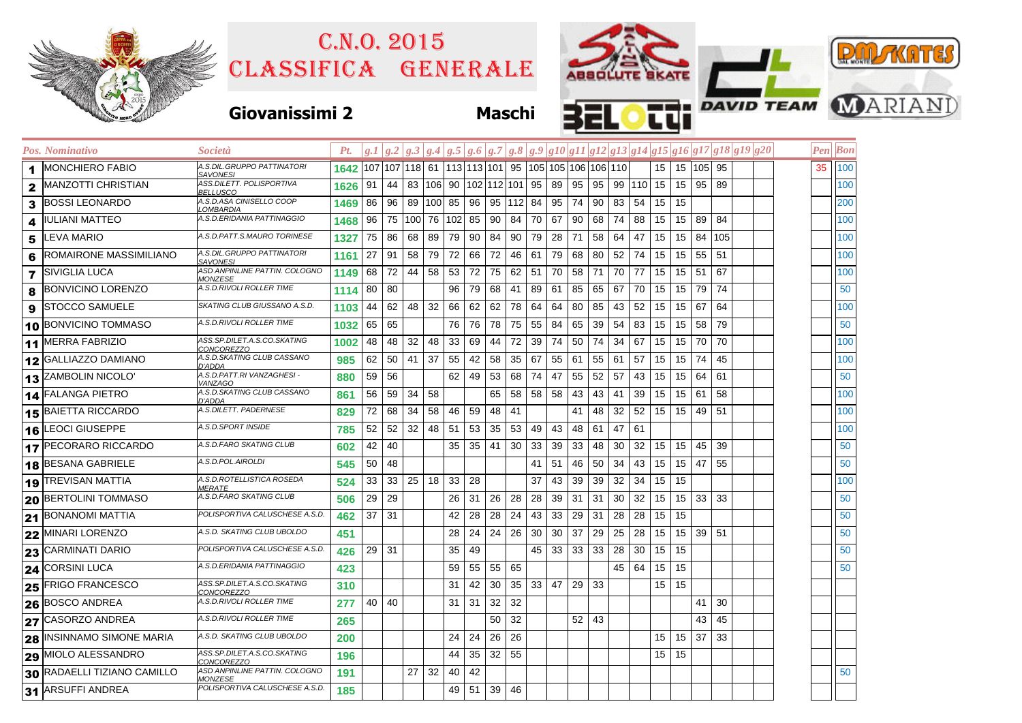| ю                       |  |
|-------------------------|--|
|                         |  |
| 2015<br>COITO NORD OVER |  |

## Classifica generale C.n.o. 2015



|              | Pos. Nominativo             | Società                                                | Pt.  | g.I |     |     |               |        |             |           |     |    |     |                                                   |     |     |           |                  |                  |           |     | $\left g.2\left g.3\left g.4\left g.5\left g.6\left g.7\right g.8\left g.9\left g10\right g11\right g12\right g13\right g14\right g15\right g16\right g17\left g18\right g19\right g20$ |  | Pen  Bon |
|--------------|-----------------------------|--------------------------------------------------------|------|-----|-----|-----|---------------|--------|-------------|-----------|-----|----|-----|---------------------------------------------------|-----|-----|-----------|------------------|------------------|-----------|-----|-----------------------------------------------------------------------------------------------------------------------------------------------------------------------------------------|--|----------|
| 1            | <b>MONCHIERO FABIO</b>      | A.S.DIL.GRUPPO PATTINATORI<br>SAVONESI                 | 1642 |     |     |     |               |        |             |           |     |    |     | 107 107 118 61 113 113 101 95 105 105 106 106 106 |     |     |           | 15 <sup>15</sup> |                  | 15 105 95 |     |                                                                                                                                                                                         |  | 35 100   |
| $\mathbf{2}$ | IMANZOTTI CHRISTIAN         | ASS.DILETT. POLISPORTIVA<br><b>BELLUSCO</b>            | 1626 | 91  | 44  |     | 83   106   90 |        | 102 112 101 |           |     | 95 | 89  | 95                                                | 95  |     | 99 110 15 |                  | 15               | 95 89     |     |                                                                                                                                                                                         |  | 100      |
| 3            | <b>BOSSI LEONARDO</b>       | A.S.D.ASA CINISELLO COOP<br>.OMBARDIA                  | 1469 | 86  | 96  | 89  | 100 85        |        | 96          | $95 \mid$ | 112 | 84 | 95  | 74                                                | 90  | 83  | 54        | 15               | 15               |           |     |                                                                                                                                                                                         |  | 200      |
| 4            | <b>IULIANI MATTEO</b>       | A.S.D.ERIDANIA PATTINAGGIO                             | 1468 | 96  | 75  | 100 |               | 76 102 | 85          | 90        | 84  | 70 | 67  | 90                                                | 68  | 74  | 88        | 15               | 15               | 89        | 84  |                                                                                                                                                                                         |  | 100      |
| 5            | <b>LEVA MARIO</b>           | A.S.D.PATT.S.MAURO TORINESE                            | 1327 | 75  | 86  | 68  | 89            | 79     | 90          | 84        | 90  | 79 | 28  | 71                                                | 58  | 64  | 47        | 15               | 15               | 84        | 105 |                                                                                                                                                                                         |  | 100      |
| 6            | ROMAIRONE MASSIMILIANO      | A.S.DIL.GRUPPO PATTINATORI<br><b>SAVONESI</b>          | 1161 | 27  | 91  | 58  | 79            | 72     | 66          | 72        | 46  | 61 | 79  | 68                                                | 80  | 52  | 74        | 15               | 15               | 55        | 51  |                                                                                                                                                                                         |  | 100      |
|              | <b>7</b> SIVIGLIA LUCA      | ASD ANPINLINE PATTIN. COLOGNO<br><i><b>MONZESE</b></i> | 1149 | 68  | 72  | 44  | 58            | -53    | 72          | 75        | 62  | 51 | 70  | 58                                                | 71  | 70  | 77        | 15               | 15 <sup>15</sup> | 51        | 67  |                                                                                                                                                                                         |  | 100      |
| 8            | <b>BONVICINO LORENZO</b>    | A.S.D.RIVOLI ROLLER TIME                               | 1114 | 80  | 80  |     |               | 96     | 79          | 68        | 41  | 89 | 61  | 85                                                | 65  | 67  | 70        | 15               | 15               | 79        | 74  |                                                                                                                                                                                         |  | 50       |
| 9            | <b>STOCCO SAMUELE</b>       | SKATING CLUB GIUSSANO A.S.D.                           | 1103 | 44  | 62  | 48  | 32            | 66     | 62          | 62        | 78  | 64 | 64  | 80                                                | 85  | 43  | 52        | 15               | 15               | 67        | 64  |                                                                                                                                                                                         |  | 100      |
|              | 10 BONVICINO TOMMASO        | A.S.D.RIVOLI ROLLER TIME                               | 1032 | 65  | 65  |     |               | 76     | 76          | 78        | 75  | 55 | 84  | 65                                                | 39  | 54  | 83        | 15               | 15 <sup>15</sup> | 58        | 79  |                                                                                                                                                                                         |  | 50       |
|              | 11 MERRA FABRIZIO           | ASS.SP.DILET.A.S.CO.SKATING<br>CONCOREZZO              | 1002 | 48  | 48  | 32  | 48            | 33     | 69          | 44        | 72  | 39 | 74  | 50                                                | 74  | 34  | 67        | 15               | 15               | 70        | 70  |                                                                                                                                                                                         |  | 100      |
|              | 12 GALLIAZZO DAMIANO        | A.S.D.SKATING CLUB CASSANO<br>D'ADDA                   | 985  | 62  | 50  | 41  | 37            | 55     | 42          | 58        | 35  | 67 | 55  | 61                                                | 55  | -61 | 57        | 15               | 15               | 74        | 45  |                                                                                                                                                                                         |  | 100      |
|              | 13 ZAMBOLIN NICOLO'         | A.S.D.PATT.RI VANZAGHESI -<br>VANZAGO                  | 880  | 59  | 56  |     |               | 62     | 49          | 53        | 68  | 74 | 47  | 55                                                | 52  | 57  | 43        | 15               | 15               | 64        | 61  |                                                                                                                                                                                         |  | 50       |
|              | 14 FALANGA PIETRO           | A.S.D.SKATING CLUB CASSANO<br>D'ADDA                   | 861  | 56  | 59  | 34  | 58            |        |             | 65        | 58  | 58 | 58  | 43                                                | 43  | 41  | 39        | 15               | 15               | 61        | 58  |                                                                                                                                                                                         |  | 100      |
|              | 15 BAIETTA RICCARDO         | A.S.DILETT. PADERNESE                                  | 829  | 72  | 68  | 34  | 58            | 46     | 59          | 48        | 41  |    |     | 41                                                | 48  | 32  | 52        | 15               | 15               | 49        | -51 |                                                                                                                                                                                         |  | 100      |
|              | 16 LEOCI GIUSEPPE           | A.S.D.SPORT INSIDE                                     | 785  | 52  | 52  | 32  | 48            | 51     | 53          | 35        | 53  | 49 | 43  | 48                                                | 61  | 47  | 61        |                  |                  |           |     |                                                                                                                                                                                         |  | 100      |
|              | 17 PECORARO RICCARDO        | A.S.D.FARO SKATING CLUB                                | 602  | 42  | 40  |     |               | 35     | 35          | 41        | 30  | 33 | 39  | 33                                                | 48  | 30  | 32        | 15               | 15               | 45        | 39  |                                                                                                                                                                                         |  | 50       |
|              | 18 BESANA GABRIELE          | A.S.D.POL.AIROLDI                                      | 545  | 50  | 48  |     |               |        |             |           |     | 41 | -51 | 46                                                | 50  | 34  | 43        | 15               | 15               | 47        | 55  |                                                                                                                                                                                         |  | 50       |
|              | 19 TREVISAN MATTIA          | A.S.D.ROTELLISTICA ROSEDA<br><i><b>MERATE</b></i>      | 524  | 33  | 33  | 25  | 18            | 33     | 28          |           |     | 37 | 43  | 39                                                | 39  | 32  | 34        | 15               | 15               |           |     |                                                                                                                                                                                         |  | 100      |
|              | 20 BERTOLINI TOMMASO        | A.S.D.FARO SKATING CLUB                                | 506  | 29  | 29  |     |               | 26     | 31          | 26        | 28  | 28 | 39  | 31                                                | 31  | 30  | 32        | 15               | 15               | 33        | 33  |                                                                                                                                                                                         |  | 50       |
|              | 21 BONANOMI MATTIA          | POLISPORTIVA CALUSCHESE A.S.D.                         | 462  | 37  | -31 |     |               | 42     | 28          | 28        | 24  | 43 | 33  | 29                                                | -31 | 28  | 28        | 15               | 15               |           |     |                                                                                                                                                                                         |  | 50       |
|              | 22 MINARI LORENZO           | A.S.D. SKATING CLUB UBOLDO                             | 451  |     |     |     |               | 28     | 24          | 24        | 26  | 30 | 30  | 37                                                | 29  | 25  | 28        | 15               | 15               | 39 51     |     |                                                                                                                                                                                         |  | 50       |
|              | 23 CARMINATI DARIO          | POLISPORTIVA CALUSCHESE A.S.D.                         | 426  | 29  | -31 |     |               | 35     | 49          |           |     | 45 | 33  | 33                                                | 33  | 28  | 30        | 15               | 15               |           |     |                                                                                                                                                                                         |  | 50       |
|              | 24 CORSINI LUCA             | A.S.D.ERIDANIA PATTINAGGIO                             | 423  |     |     |     |               | 59     | 55          | 55        | 65  |    |     |                                                   |     | 45  | 64        | 15               | 15               |           |     |                                                                                                                                                                                         |  | 50       |
|              | 25 FRIGO FRANCESCO          | ASS.SP.DILET.A.S.CO.SKATING<br><i>CONCOREZZO</i>       | 310  |     |     |     |               | 31     | 42          | 30        | 35  | 33 | 47  | 29                                                | 33  |     |           | 15               | 15               |           |     |                                                                                                                                                                                         |  |          |
|              | 26 BOSCO ANDREA             | A.S.D.RIVOLI ROLLER TIME                               | 277  | 40  | 40  |     |               | 31     | 31          | 32        | 32  |    |     |                                                   |     |     |           |                  |                  | 41        | 30  |                                                                                                                                                                                         |  |          |
|              | 27 CASORZO ANDREA           | A.S.D.RIVOLI ROLLER TIME                               | 265  |     |     |     |               |        |             | 50        | 32  |    |     | 52                                                | 43  |     |           |                  |                  | 43        | 45  |                                                                                                                                                                                         |  |          |
|              | 28 INSINNAMO SIMONE MARIA   | A.S.D. SKATING CLUB UBOLDO                             | 200  |     |     |     |               | 24     | 24          | 26        | 26  |    |     |                                                   |     |     |           | 15               | 15               | 37        | 33  |                                                                                                                                                                                         |  |          |
|              | 29 MIOLO ALESSANDRO         | ASS.SP.DILET.A.S.CO.SKATING<br>CONCOREZZO              | 196  |     |     |     |               | 44     | 35          | 32        | 55  |    |     |                                                   |     |     |           | 15               | 15               |           |     |                                                                                                                                                                                         |  |          |
|              | 30 RADAELLI TIZIANO CAMILLO | ASD ANPINLINE PATTIN. COLOGNO<br><i><b>MONZESE</b></i> | 191  |     |     | 27  | 32            | 40     | 42          |           |     |    |     |                                                   |     |     |           |                  |                  |           |     |                                                                                                                                                                                         |  | 50       |
|              | 31 ARSUFFI ANDREA           | POLISPORTIVA CALUSCHESE A.S.D.                         | 185  |     |     |     |               | 49     | 51          | 39        | 46  |    |     |                                                   |     |     |           |                  |                  |           |     |                                                                                                                                                                                         |  |          |